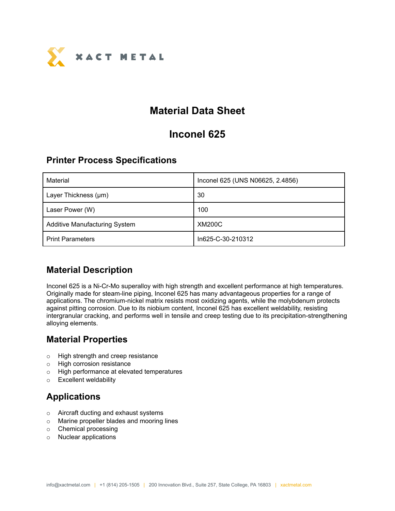

# **Material Data Sheet**

## **Inconel 625**

#### **Printer Process Specifications**

| Material                             | Inconel 625 (UNS N06625, 2.4856) |
|--------------------------------------|----------------------------------|
| Layer Thickness (µm)                 | 30                               |
| Laser Power (W)                      | 100                              |
| <b>Additive Manufacturing System</b> | <b>XM200C</b>                    |
| <b>Print Parameters</b>              | In625-C-30-210312                |

### **Material Description**

Inconel 625 is a Ni-Cr-Mo superalloy with high strength and excellent performance at high temperatures. Originally made for steam-line piping, Inconel 625 has many advantageous properties for a range of applications. The chromium-nickel matrix resists most oxidizing agents, while the molybdenum protects against pitting corrosion. Due to its niobium content, Inconel 625 has excellent weldability, resisting intergranular cracking, and performs well in tensile and creep testing due to its precipitation-strengthening alloying elements.

### **Material Properties**

- o High strength and creep resistance
- o High corrosion resistance
- o High performance at elevated temperatures
- o Excellent weldability

## **Applications**

- o Aircraft ducting and exhaust systems
- o Marine propeller blades and mooring lines
- o Chemical processing
- o Nuclear applications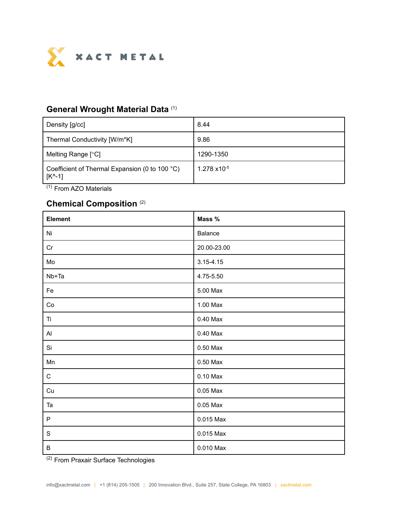

#### **General Wrought Material Data** (1)

| Density [g/cc]                                                       | 8.44                   |
|----------------------------------------------------------------------|------------------------|
| Thermal Conductivity [W/m*K]                                         | 9.86                   |
| Melting Range [°C]                                                   | 1290-1350              |
| Coefficient of Thermal Expansion (0 to 100 °C)<br>$[K^{\wedge} - 1]$ | $1.278 \times 10^{-5}$ |

(1) From AZO Materials

#### **Chemical Composition** (2)

| Element       | Mass %        |
|---------------|---------------|
| Ni            | Balance       |
| Cr            | 20.00-23.00   |
| Mo            | $3.15 - 4.15$ |
| $Nb+Ta$       | 4.75-5.50     |
| Fe            | 5.00 Max      |
| Co            | 1.00 Max      |
| Ti            | $0.40$ Max    |
| $\mathsf{A}$  | $0.40$ Max    |
| Si            | $0.50$ Max    |
| Mn            | $0.50$ Max    |
| $\mathbf C$   | $0.10$ Max    |
| Cu            | $0.05$ Max    |
| Ta            | $0.05$ Max    |
| $\mathsf P$   | 0.015 Max     |
| ${\mathsf S}$ | 0.015 Max     |
| $\sf B$       | 0.010 Max     |

<sup>(2)</sup> From Praxair Surface Technologies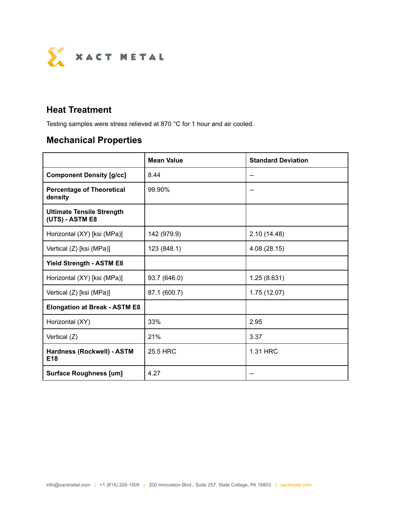

### **Heat Treatment**

Testing samples were stress relieved at 870 °C for 1 hour and air cooled.

# **Mechanical Properties**

|                                                     | <b>Mean Value</b> | <b>Standard Deviation</b> |  |
|-----------------------------------------------------|-------------------|---------------------------|--|
| <b>Component Density [g/cc]</b>                     | 8.44              | --                        |  |
| <b>Percentage of Theoretical</b><br>density         | 99.90%            |                           |  |
| <b>Ultimate Tensile Strength</b><br>(UTS) - ASTM E8 |                   |                           |  |
| Horizontal (XY) [ksi (MPa)]                         | 142 (979.9)       | 2.10 (14.48)              |  |
| Vertical (Z) [ksi (MPa)]                            | 123 (848.1)       | 4.08 (28.15)              |  |
| <b>Yield Strength - ASTM E8</b>                     |                   |                           |  |
| Horizontal (XY) [ksi (MPa)]                         | 93.7 (646.0)      | 1.25(8.631)               |  |
| Vertical (Z) [ksi (MPa)]                            | 87.1 (600.7)      | 1.75(12.07)               |  |
| <b>Elongation at Break - ASTM E8</b>                |                   |                           |  |
| Horizontal (XY)                                     | 33%               | 2.95                      |  |
| Vertical (Z)                                        | 21%               | 3.37                      |  |
| Hardness (Rockwell) - ASTM<br>E18                   | 25.5 HRC          | 1.31 HRC                  |  |
| <b>Surface Roughness [um]</b>                       | 4.27              |                           |  |